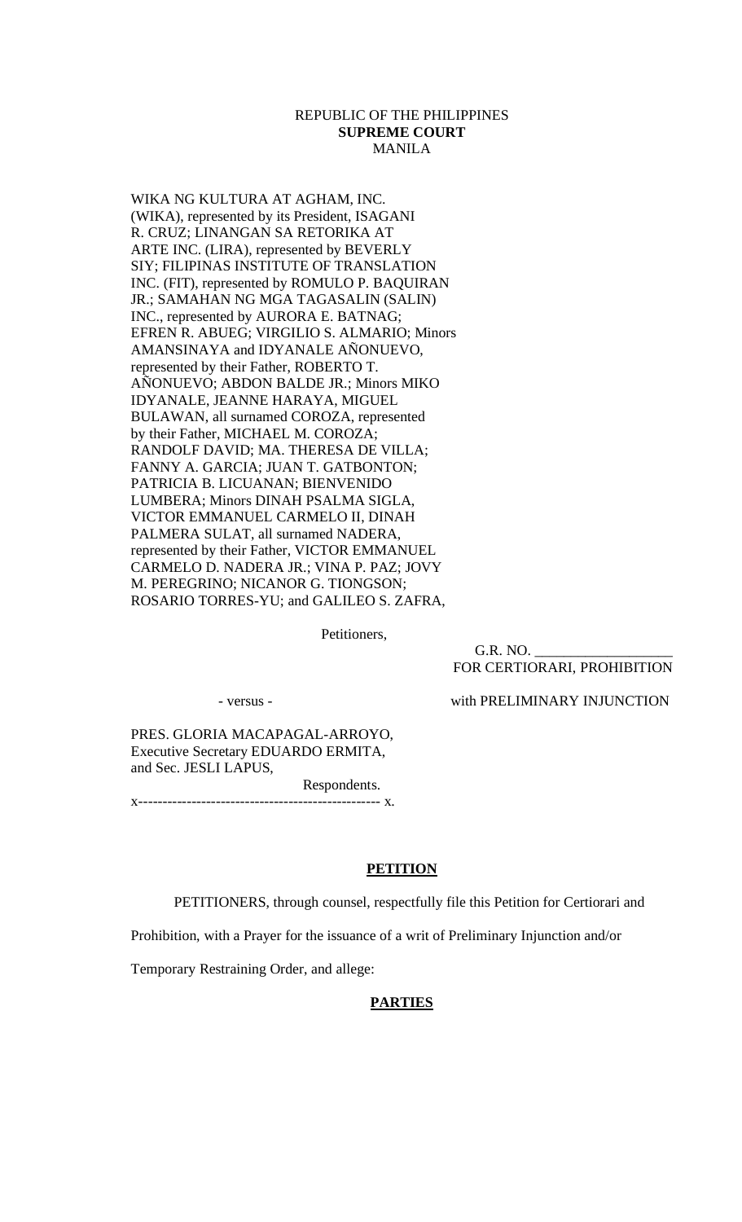### REPUBLIC OF THE PHILIPPINES **SUPREME COURT**  MANILA

WIKA NG KULTURA AT AGHAM, INC. (WIKA), represented by its President, ISAGANI R. CRUZ; LINANGAN SA RETORIKA AT ARTE INC. (LIRA), represented by BEVERLY SIY; FILIPINAS INSTITUTE OF TRANSLATION INC. (FIT), represented by ROMULO P. BAQUIRAN JR.; SAMAHAN NG MGA TAGASALIN (SALIN) INC., represented by AURORA E. BATNAG; EFREN R. ABUEG; VIRGILIO S. ALMARIO; Minors AMANSINAYA and IDYANALE AÑONUEVO, represented by their Father, ROBERTO T. AÑONUEVO; ABDON BALDE JR.; Minors MIKO IDYANALE, JEANNE HARAYA, MIGUEL BULAWAN, all surnamed COROZA, represented by their Father, MICHAEL M. COROZA; RANDOLF DAVID; MA. THERESA DE VILLA; FANNY A. GARCIA; JUAN T. GATBONTON; PATRICIA B. LICUANAN; BIENVENIDO LUMBERA; Minors DINAH PSALMA SIGLA, VICTOR EMMANUEL CARMELO II, DINAH PALMERA SULAT, all surnamed NADERA, represented by their Father, VICTOR EMMANUEL CARMELO D. NADERA JR.; VINA P. PAZ; JOVY M. PEREGRINO; NICANOR G. TIONGSON; ROSARIO TORRES-YU; and GALILEO S. ZAFRA,

Petitioners,

G.R. NO. FOR CERTIORARI, PROHIBITION

- versus - with PRELIMINARY INJUNCTION

PRES. GLORIA MACAPAGAL-ARROYO, Executive Secretary EDUARDO ERMITA, and Sec. JESLI LAPUS, Respondents.

x-------------------------------------------------- x.

### **PETITION**

PETITIONERS, through counsel, respectfully file this Petition for Certiorari and

Prohibition, with a Prayer for the issuance of a writ of Preliminary Injunction and/or

Temporary Restraining Order, and allege:

### **PARTIES**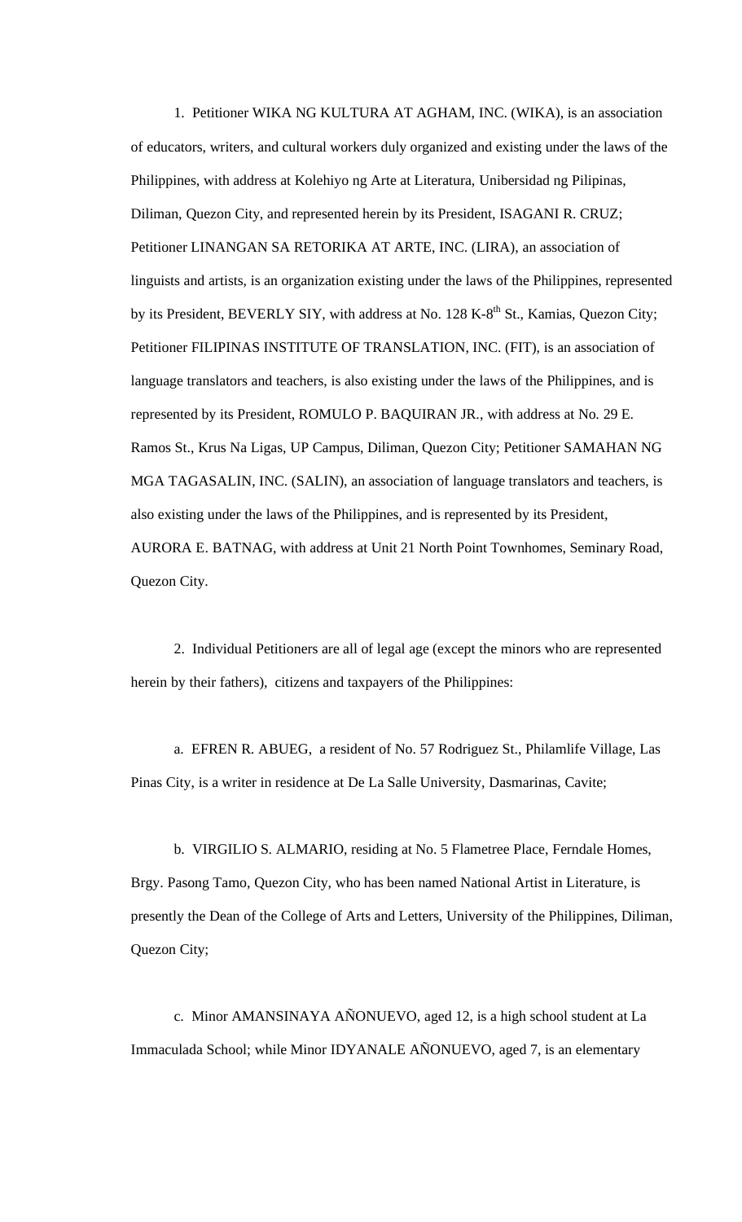1. Petitioner WIKA NG KULTURA AT AGHAM, INC. (WIKA), is an association of educators, writers, and cultural workers duly organized and existing under the laws of the Philippines, with address at Kolehiyo ng Arte at Literatura, Unibersidad ng Pilipinas, Diliman, Quezon City, and represented herein by its President, ISAGANI R. CRUZ; Petitioner LINANGAN SA RETORIKA AT ARTE, INC. (LIRA), an association of linguists and artists, is an organization existing under the laws of the Philippines, represented by its President, BEVERLY SIY, with address at No. 128 K-8<sup>th</sup> St., Kamias, Quezon City; Petitioner FILIPINAS INSTITUTE OF TRANSLATION, INC. (FIT), is an association of language translators and teachers, is also existing under the laws of the Philippines, and is represented by its President, ROMULO P. BAQUIRAN JR., with address at No. 29 E. Ramos St., Krus Na Ligas, UP Campus, Diliman, Quezon City; Petitioner SAMAHAN NG MGA TAGASALIN, INC. (SALIN), an association of language translators and teachers, is also existing under the laws of the Philippines, and is represented by its President, AURORA E. BATNAG, with address at Unit 21 North Point Townhomes, Seminary Road, Quezon City.

 2. Individual Petitioners are all of legal age (except the minors who are represented herein by their fathers), citizens and taxpayers of the Philippines:

 a. EFREN R. ABUEG, a resident of No. 57 Rodriguez St., Philamlife Village, Las Pinas City, is a writer in residence at De La Salle University, Dasmarinas, Cavite;

 b. VIRGILIO S. ALMARIO, residing at No. 5 Flametree Place, Ferndale Homes, Brgy. Pasong Tamo, Quezon City, who has been named National Artist in Literature, is presently the Dean of the College of Arts and Letters, University of the Philippines, Diliman, Quezon City;

 c. Minor AMANSINAYA AÑONUEVO, aged 12, is a high school student at La Immaculada School; while Minor IDYANALE AÑONUEVO, aged 7, is an elementary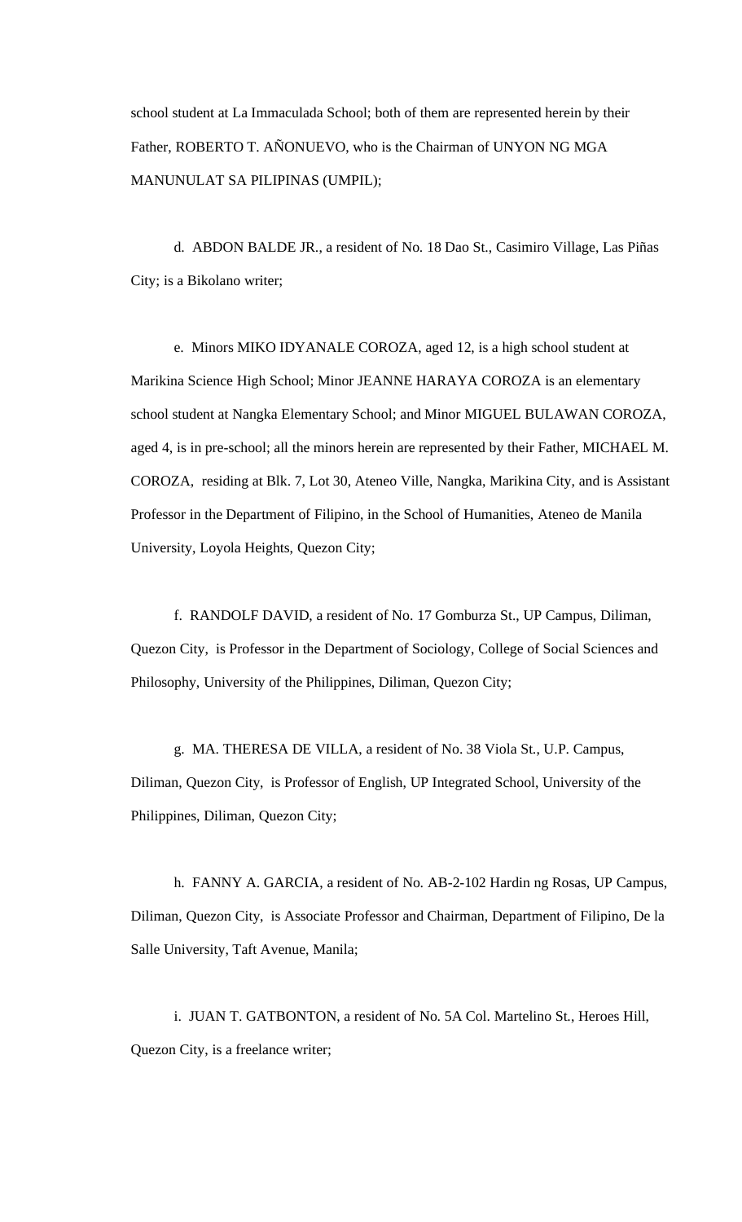school student at La Immaculada School; both of them are represented herein by their Father, ROBERTO T. AÑONUEVO, who is the Chairman of UNYON NG MGA MANUNULAT SA PILIPINAS (UMPIL);

 d. ABDON BALDE JR., a resident of No. 18 Dao St., Casimiro Village, Las Piñas City; is a Bikolano writer;

 e. Minors MIKO IDYANALE COROZA, aged 12, is a high school student at Marikina Science High School; Minor JEANNE HARAYA COROZA is an elementary school student at Nangka Elementary School; and Minor MIGUEL BULAWAN COROZA, aged 4, is in pre-school; all the minors herein are represented by their Father, MICHAEL M. COROZA, residing at Blk. 7, Lot 30, Ateneo Ville, Nangka, Marikina City, and is Assistant Professor in the Department of Filipino, in the School of Humanities, Ateneo de Manila University, Loyola Heights, Quezon City;

 f. RANDOLF DAVID, a resident of No. 17 Gomburza St., UP Campus, Diliman, Quezon City, is Professor in the Department of Sociology, College of Social Sciences and Philosophy, University of the Philippines, Diliman, Quezon City;

 g. MA. THERESA DE VILLA, a resident of No. 38 Viola St., U.P. Campus, Diliman, Quezon City, is Professor of English, UP Integrated School, University of the Philippines, Diliman, Quezon City;

 h. FANNY A. GARCIA, a resident of No. AB-2-102 Hardin ng Rosas, UP Campus, Diliman, Quezon City, is Associate Professor and Chairman, Department of Filipino, De la Salle University, Taft Avenue, Manila;

 i. JUAN T. GATBONTON, a resident of No. 5A Col. Martelino St., Heroes Hill, Quezon City, is a freelance writer;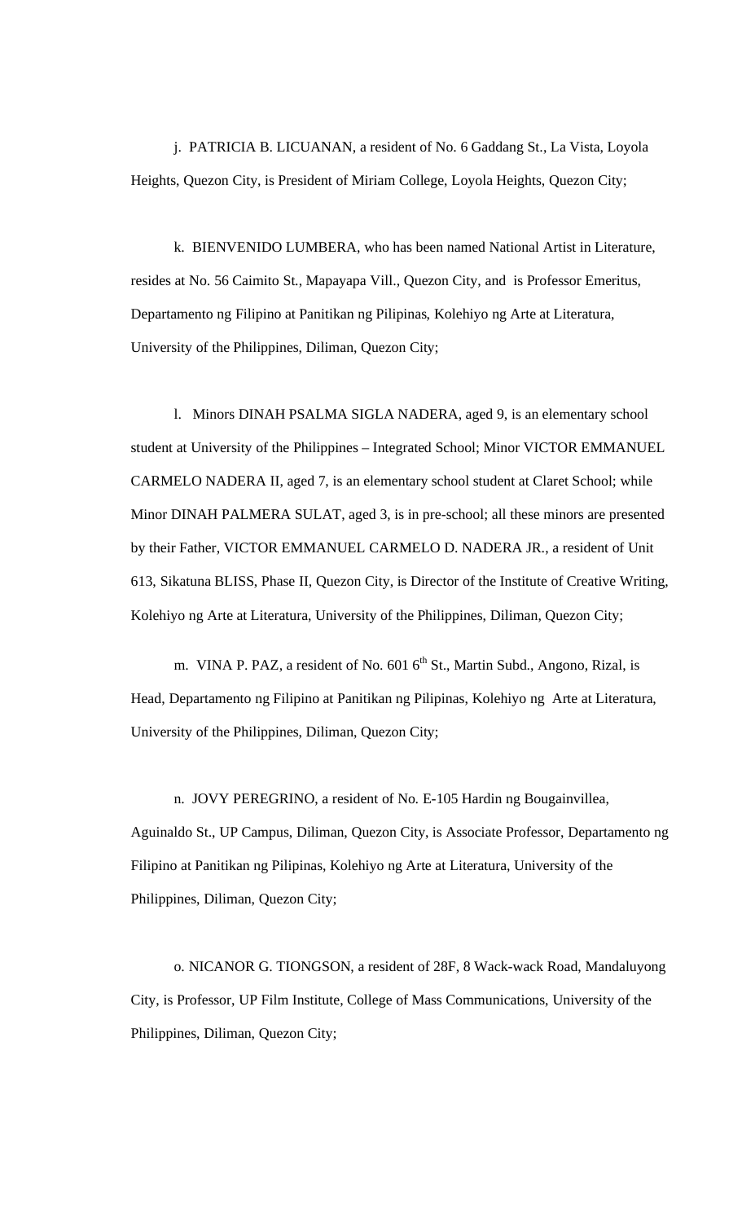j. PATRICIA B. LICUANAN, a resident of No. 6 Gaddang St., La Vista, Loyola Heights, Quezon City, is President of Miriam College, Loyola Heights, Quezon City;

 k. BIENVENIDO LUMBERA, who has been named National Artist in Literature, resides at No. 56 Caimito St., Mapayapa Vill., Quezon City, and is Professor Emeritus, Departamento ng Filipino at Panitikan ng Pilipinas, Kolehiyo ng Arte at Literatura, University of the Philippines, Diliman, Quezon City;

 l. Minors DINAH PSALMA SIGLA NADERA, aged 9, is an elementary school student at University of the Philippines – Integrated School; Minor VICTOR EMMANUEL CARMELO NADERA II, aged 7, is an elementary school student at Claret School; while Minor DINAH PALMERA SULAT, aged 3, is in pre-school; all these minors are presented by their Father, VICTOR EMMANUEL CARMELO D. NADERA JR., a resident of Unit 613, Sikatuna BLISS, Phase II, Quezon City, is Director of the Institute of Creative Writing, Kolehiyo ng Arte at Literatura, University of the Philippines, Diliman, Quezon City;

m. VINA P. PAZ, a resident of No.  $601\,6^{th}$  St., Martin Subd., Angono, Rizal, is Head, Departamento ng Filipino at Panitikan ng Pilipinas, Kolehiyo ng Arte at Literatura, University of the Philippines, Diliman, Quezon City;

 n. JOVY PEREGRINO, a resident of No. E-105 Hardin ng Bougainvillea, Aguinaldo St., UP Campus, Diliman, Quezon City, is Associate Professor, Departamento ng Filipino at Panitikan ng Pilipinas, Kolehiyo ng Arte at Literatura, University of the Philippines, Diliman, Quezon City;

 o. NICANOR G. TIONGSON, a resident of 28F, 8 Wack-wack Road, Mandaluyong City, is Professor, UP Film Institute, College of Mass Communications, University of the Philippines, Diliman, Quezon City;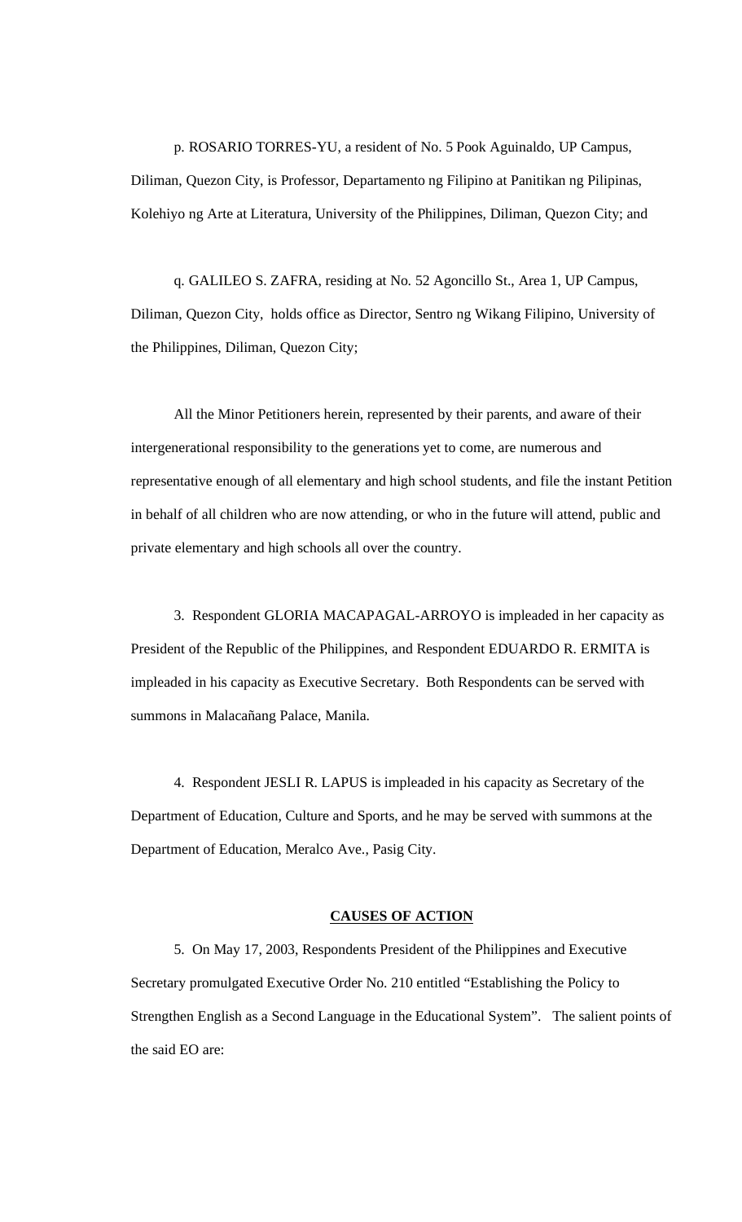p. ROSARIO TORRES-YU, a resident of No. 5 Pook Aguinaldo, UP Campus, Diliman, Quezon City, is Professor, Departamento ng Filipino at Panitikan ng Pilipinas, Kolehiyo ng Arte at Literatura, University of the Philippines, Diliman, Quezon City; and

 q. GALILEO S. ZAFRA, residing at No. 52 Agoncillo St., Area 1, UP Campus, Diliman, Quezon City, holds office as Director, Sentro ng Wikang Filipino, University of the Philippines, Diliman, Quezon City;

 All the Minor Petitioners herein, represented by their parents, and aware of their intergenerational responsibility to the generations yet to come, are numerous and representative enough of all elementary and high school students, and file the instant Petition in behalf of all children who are now attending, or who in the future will attend, public and private elementary and high schools all over the country.

 3. Respondent GLORIA MACAPAGAL-ARROYO is impleaded in her capacity as President of the Republic of the Philippines, and Respondent EDUARDO R. ERMITA is impleaded in his capacity as Executive Secretary. Both Respondents can be served with summons in Malacañang Palace, Manila.

 4. Respondent JESLI R. LAPUS is impleaded in his capacity as Secretary of the Department of Education, Culture and Sports, and he may be served with summons at the Department of Education, Meralco Ave., Pasig City.

### **CAUSES OF ACTION**

 5. On May 17, 2003, Respondents President of the Philippines and Executive Secretary promulgated Executive Order No. 210 entitled "Establishing the Policy to Strengthen English as a Second Language in the Educational System". The salient points of the said EO are: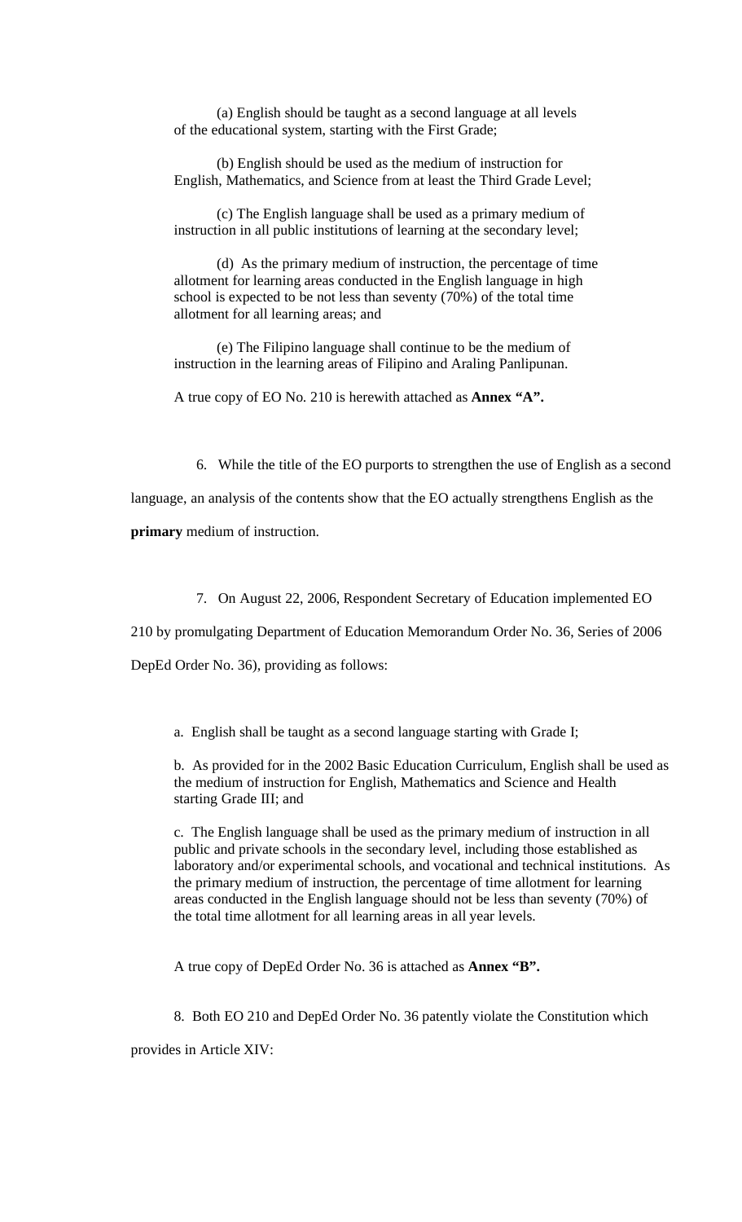(a) English should be taught as a second language at all levels of the educational system, starting with the First Grade;

 (b) English should be used as the medium of instruction for English, Mathematics, and Science from at least the Third Grade Level;

 (c) The English language shall be used as a primary medium of instruction in all public institutions of learning at the secondary level;

 (d) As the primary medium of instruction, the percentage of time allotment for learning areas conducted in the English language in high school is expected to be not less than seventy (70%) of the total time allotment for all learning areas; and

 (e) The Filipino language shall continue to be the medium of instruction in the learning areas of Filipino and Araling Panlipunan.

A true copy of EO No. 210 is herewith attached as **Annex "A".** 

6. While the title of the EO purports to strengthen the use of English as a second

language, an analysis of the contents show that the EO actually strengthens English as the

**primary** medium of instruction.

7. On August 22, 2006, Respondent Secretary of Education implemented EO

210 by promulgating Department of Education Memorandum Order No. 36, Series of 2006

DepEd Order No. 36), providing as follows:

a. English shall be taught as a second language starting with Grade I;

 b. As provided for in the 2002 Basic Education Curriculum, English shall be used as the medium of instruction for English, Mathematics and Science and Health starting Grade III; and

 c. The English language shall be used as the primary medium of instruction in all public and private schools in the secondary level, including those established as laboratory and/or experimental schools, and vocational and technical institutions. As the primary medium of instruction, the percentage of time allotment for learning areas conducted in the English language should not be less than seventy (70%) of the total time allotment for all learning areas in all year levels.

A true copy of DepEd Order No. 36 is attached as **Annex "B".** 

8. Both EO 210 and DepEd Order No. 36 patently violate the Constitution which

provides in Article XIV: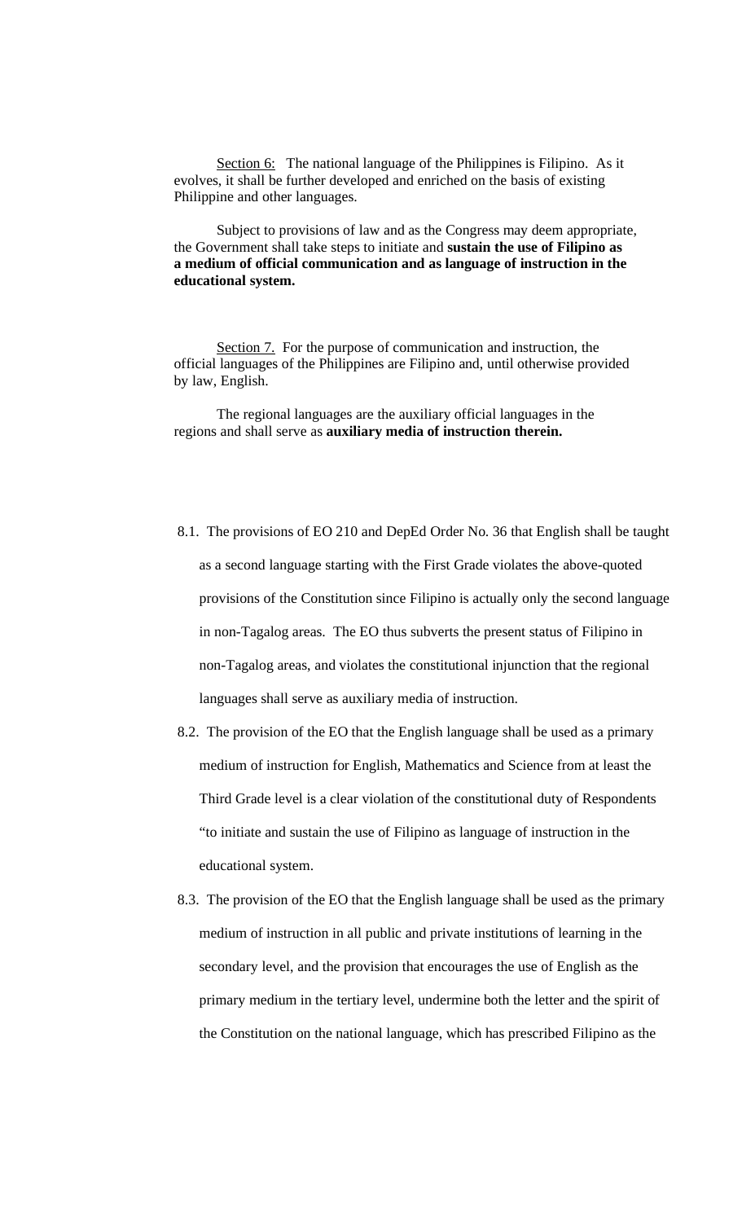Section 6: The national language of the Philippines is Filipino. As it evolves, it shall be further developed and enriched on the basis of existing Philippine and other languages.

 Subject to provisions of law and as the Congress may deem appropriate, the Government shall take steps to initiate and **sustain the use of Filipino as a medium of official communication and as language of instruction in the educational system.** 

Section 7. For the purpose of communication and instruction, the official languages of the Philippines are Filipino and, until otherwise provided by law, English.

 The regional languages are the auxiliary official languages in the regions and shall serve as **auxiliary media of instruction therein.** 

- 8.1. The provisions of EO 210 and DepEd Order No. 36 that English shall be taught as a second language starting with the First Grade violates the above-quoted provisions of the Constitution since Filipino is actually only the second language in non-Tagalog areas. The EO thus subverts the present status of Filipino in non-Tagalog areas, and violates the constitutional injunction that the regional languages shall serve as auxiliary media of instruction.
- 8.2. The provision of the EO that the English language shall be used as a primary medium of instruction for English, Mathematics and Science from at least the Third Grade level is a clear violation of the constitutional duty of Respondents "to initiate and sustain the use of Filipino as language of instruction in the educational system.
- 8.3. The provision of the EO that the English language shall be used as the primary medium of instruction in all public and private institutions of learning in the secondary level, and the provision that encourages the use of English as the primary medium in the tertiary level, undermine both the letter and the spirit of the Constitution on the national language, which has prescribed Filipino as the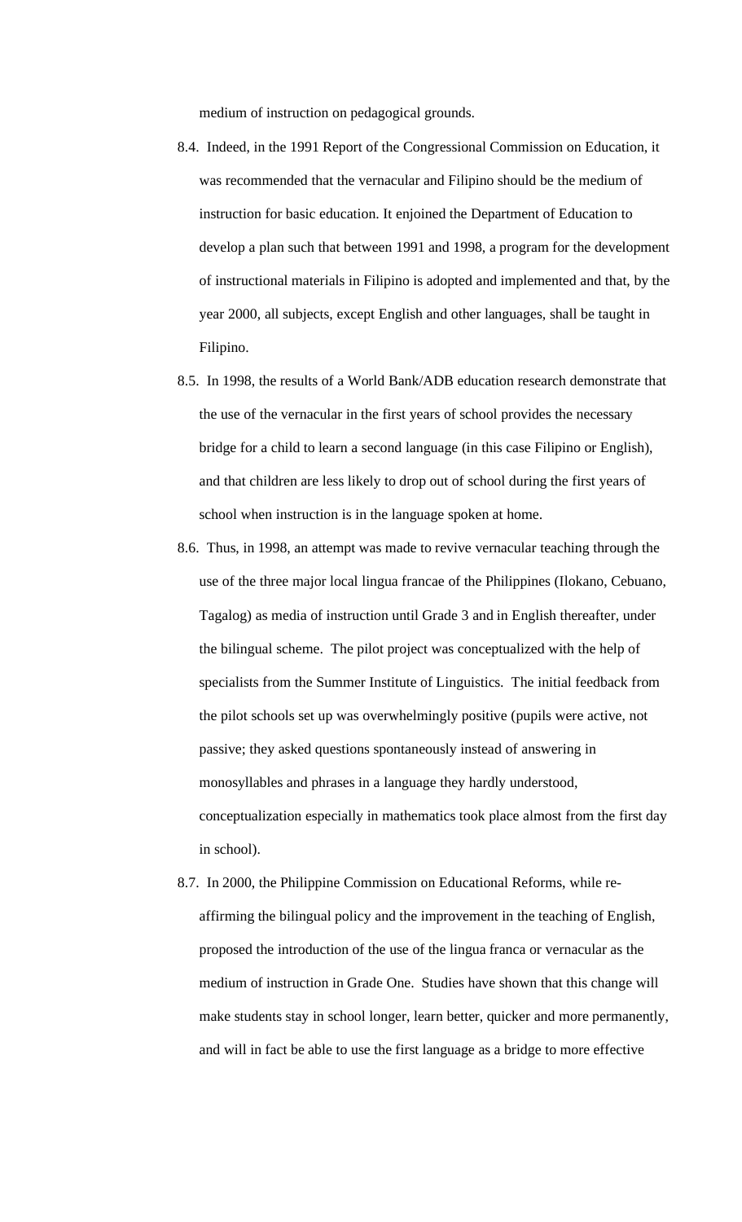medium of instruction on pedagogical grounds.

- 8.4. Indeed, in the 1991 Report of the Congressional Commission on Education, it was recommended that the vernacular and Filipino should be the medium of instruction for basic education. It enjoined the Department of Education to develop a plan such that between 1991 and 1998, a program for the development of instructional materials in Filipino is adopted and implemented and that, by the year 2000, all subjects, except English and other languages, shall be taught in Filipino.
- 8.5. In 1998, the results of a World Bank/ADB education research demonstrate that the use of the vernacular in the first years of school provides the necessary bridge for a child to learn a second language (in this case Filipino or English), and that children are less likely to drop out of school during the first years of school when instruction is in the language spoken at home.
- 8.6. Thus, in 1998, an attempt was made to revive vernacular teaching through the use of the three major local lingua francae of the Philippines (Ilokano, Cebuano, Tagalog) as media of instruction until Grade 3 and in English thereafter, under the bilingual scheme. The pilot project was conceptualized with the help of specialists from the Summer Institute of Linguistics. The initial feedback from the pilot schools set up was overwhelmingly positive (pupils were active, not passive; they asked questions spontaneously instead of answering in monosyllables and phrases in a language they hardly understood, conceptualization especially in mathematics took place almost from the first day in school).
- 8.7. In 2000, the Philippine Commission on Educational Reforms, while reaffirming the bilingual policy and the improvement in the teaching of English, proposed the introduction of the use of the lingua franca or vernacular as the medium of instruction in Grade One. Studies have shown that this change will make students stay in school longer, learn better, quicker and more permanently, and will in fact be able to use the first language as a bridge to more effective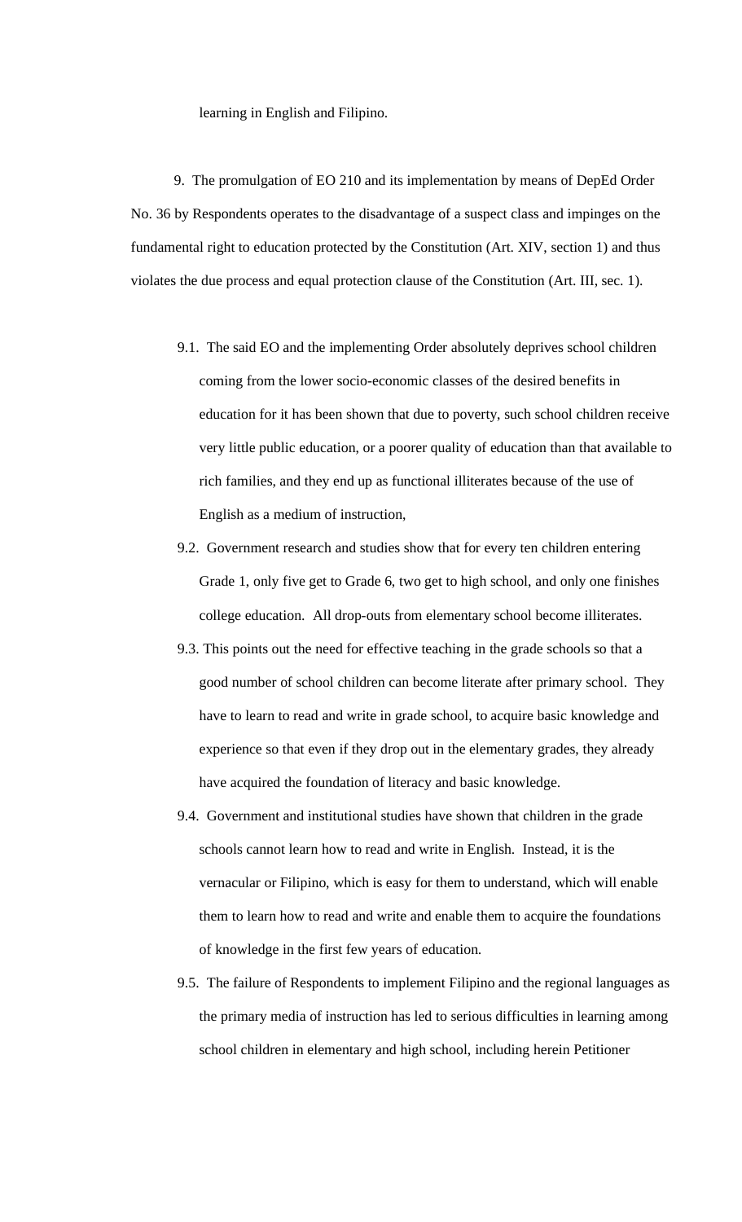learning in English and Filipino.

 9. The promulgation of EO 210 and its implementation by means of DepEd Order No. 36 by Respondents operates to the disadvantage of a suspect class and impinges on the fundamental right to education protected by the Constitution (Art. XIV, section 1) and thus violates the due process and equal protection clause of the Constitution (Art. III, sec. 1).

- 9.1. The said EO and the implementing Order absolutely deprives school children coming from the lower socio-economic classes of the desired benefits in education for it has been shown that due to poverty, such school children receive very little public education, or a poorer quality of education than that available to rich families, and they end up as functional illiterates because of the use of English as a medium of instruction,
- 9.2. Government research and studies show that for every ten children entering Grade 1, only five get to Grade 6, two get to high school, and only one finishes college education. All drop-outs from elementary school become illiterates.
- 9.3. This points out the need for effective teaching in the grade schools so that a good number of school children can become literate after primary school. They have to learn to read and write in grade school, to acquire basic knowledge and experience so that even if they drop out in the elementary grades, they already have acquired the foundation of literacy and basic knowledge.
- 9.4. Government and institutional studies have shown that children in the grade schools cannot learn how to read and write in English. Instead, it is the vernacular or Filipino, which is easy for them to understand, which will enable them to learn how to read and write and enable them to acquire the foundations of knowledge in the first few years of education.
- 9.5. The failure of Respondents to implement Filipino and the regional languages as the primary media of instruction has led to serious difficulties in learning among school children in elementary and high school, including herein Petitioner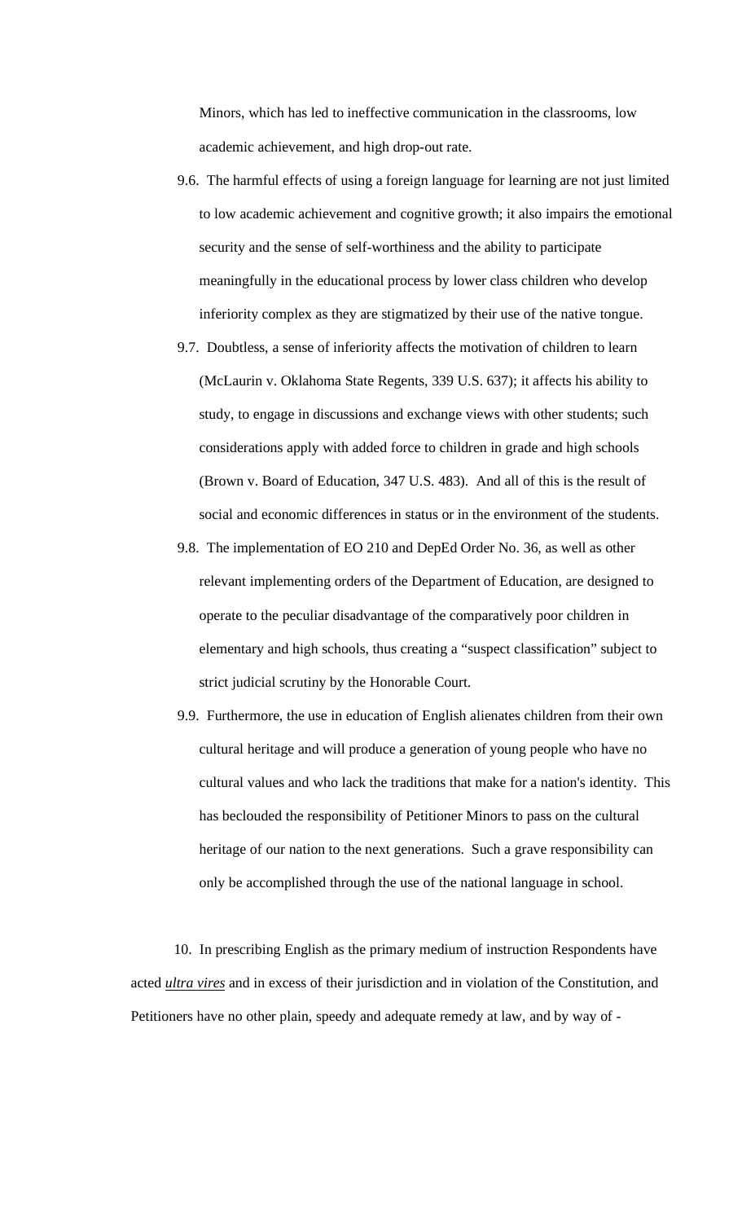Minors, which has led to ineffective communication in the classrooms, low academic achievement, and high drop-out rate.

- 9.6. The harmful effects of using a foreign language for learning are not just limited to low academic achievement and cognitive growth; it also impairs the emotional security and the sense of self-worthiness and the ability to participate meaningfully in the educational process by lower class children who develop inferiority complex as they are stigmatized by their use of the native tongue.
- 9.7. Doubtless, a sense of inferiority affects the motivation of children to learn (McLaurin v. Oklahoma State Regents, 339 U.S. 637); it affects his ability to study, to engage in discussions and exchange views with other students; such considerations apply with added force to children in grade and high schools (Brown v. Board of Education, 347 U.S. 483). And all of this is the result of social and economic differences in status or in the environment of the students.
- 9.8. The implementation of EO 210 and DepEd Order No. 36, as well as other relevant implementing orders of the Department of Education, are designed to operate to the peculiar disadvantage of the comparatively poor children in elementary and high schools, thus creating a "suspect classification" subject to strict judicial scrutiny by the Honorable Court.
- 9.9. Furthermore, the use in education of English alienates children from their own cultural heritage and will produce a generation of young people who have no cultural values and who lack the traditions that make for a nation's identity. This has beclouded the responsibility of Petitioner Minors to pass on the cultural heritage of our nation to the next generations. Such a grave responsibility can only be accomplished through the use of the national language in school.

 10. In prescribing English as the primary medium of instruction Respondents have acted *ultra vires* and in excess of their jurisdiction and in violation of the Constitution, and Petitioners have no other plain, speedy and adequate remedy at law, and by way of -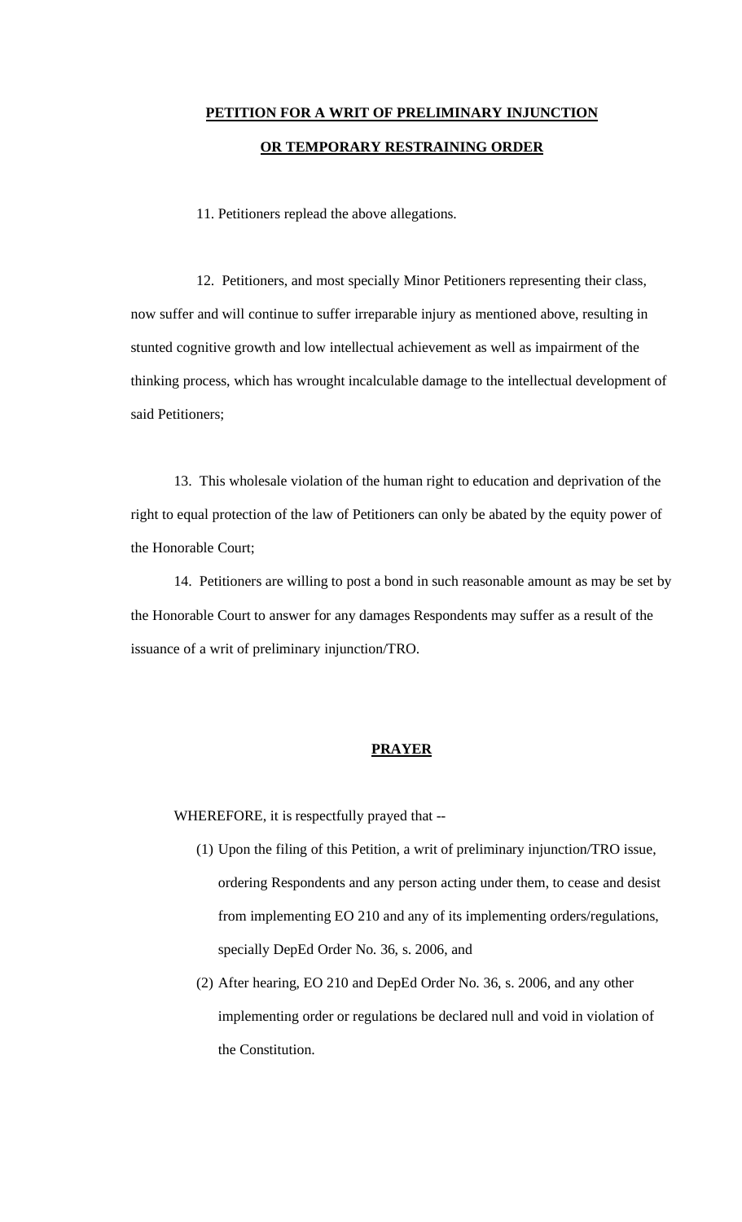# **PETITION FOR A WRIT OF PRELIMINARY INJUNCTION OR TEMPORARY RESTRAINING ORDER**

11. Petitioners replead the above allegations.

12. Petitioners, and most specially Minor Petitioners representing their class, now suffer and will continue to suffer irreparable injury as mentioned above, resulting in stunted cognitive growth and low intellectual achievement as well as impairment of the thinking process, which has wrought incalculable damage to the intellectual development of said Petitioners;

 13. This wholesale violation of the human right to education and deprivation of the right to equal protection of the law of Petitioners can only be abated by the equity power of the Honorable Court;

 14. Petitioners are willing to post a bond in such reasonable amount as may be set by the Honorable Court to answer for any damages Respondents may suffer as a result of the issuance of a writ of preliminary injunction/TRO.

### **PRAYER**

WHEREFORE, it is respectfully prayed that --

- (1) Upon the filing of this Petition, a writ of preliminary injunction/TRO issue, ordering Respondents and any person acting under them, to cease and desist from implementing EO 210 and any of its implementing orders/regulations, specially DepEd Order No. 36, s. 2006, and
- (2) After hearing, EO 210 and DepEd Order No. 36, s. 2006, and any other implementing order or regulations be declared null and void in violation of the Constitution.